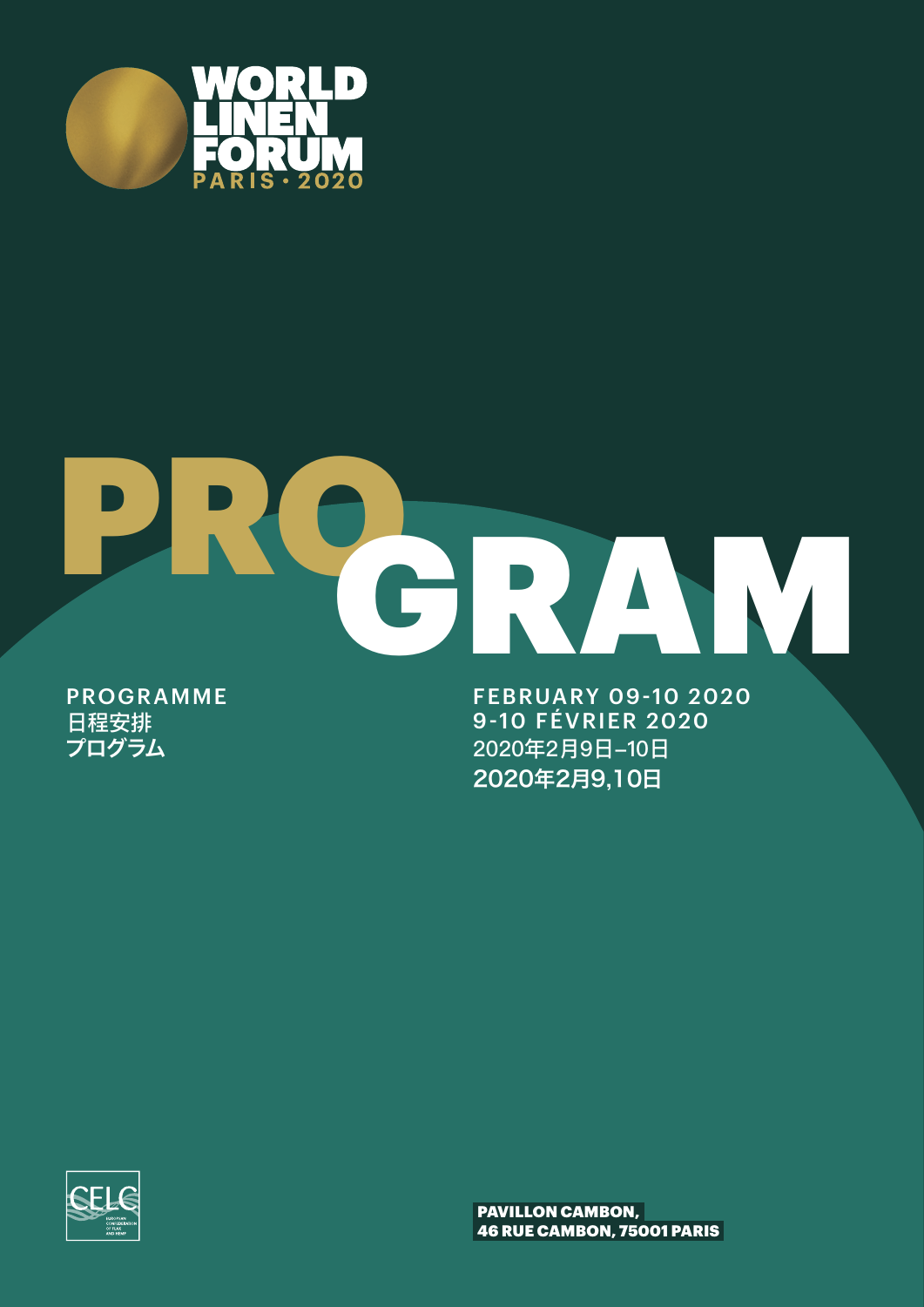

# PRO GRAM

日程安排 プログラム

FEBRUARY 09-10 2020 PROGRAMME 9-10 FÉVRIER 2020 2020年2月9日-10日 2020年2月9,10日



PAVILLON CAMBON, 46 RUE CAMBON, 75001 PARIS